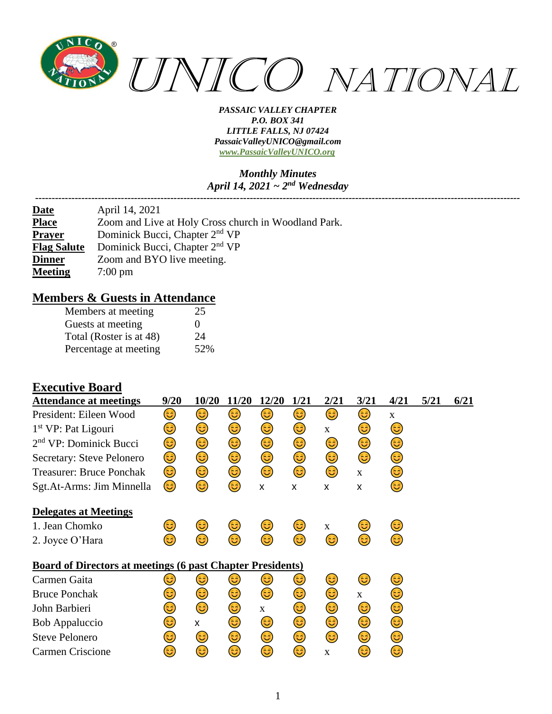

#### *Monthly Minutes April 14, 2021 ~ 2nd Wednesday*

*---------------------------------------------------------------------------------------------------------------------------------------------------*

| <u>Date</u>        | April 14, 2021                                       |
|--------------------|------------------------------------------------------|
| <b>Place</b>       | Zoom and Live at Holy Cross church in Woodland Park. |
| <b>Prayer</b>      | Dominick Bucci, Chapter 2 <sup>nd</sup> VP           |
| <b>Flag Salute</b> | Dominick Bucci, Chapter 2 <sup>nd</sup> VP           |
| <b>Dinner</b>      | Zoom and BYO live meeting.                           |
| <b>Meeting</b>     | $7:00 \text{ pm}$                                    |

### **Members & Guests in Attendance**

| Members at meeting      | 25  |
|-------------------------|-----|
| Guests at meeting       | 0   |
| Total (Roster is at 48) | 24  |
| Percentage at meeting   | 52% |

### **Executive Board**

| <b>Attendance at meetings</b>                                     | 9/20 | 10/20 | 11/20 | 12/20        | 1/21 | 2/21         | 3/21         | 4/21 | 5/21 | 6/21 |
|-------------------------------------------------------------------|------|-------|-------|--------------|------|--------------|--------------|------|------|------|
| President: Eileen Wood                                            | 6    | 6     | 3)    | 3            | 3)   | 6            | ٢            | X    |      |      |
| $1st VP$ : Pat Ligouri                                            | 3)   | 3     | 3)    | 3)           | 3)   | $\mathbf{X}$ | 3)           | 3    |      |      |
| $2nd$ VP: Dominick Bucci                                          | 3    | 3     | ٢     | 3)           | 3)   | 3)           | ٢            | 3    |      |      |
| Secretary: Steve Pelonero                                         | 3)   | 3)    | 3)    | 3)           | 3)   | 3)           | ٢            | 3)   |      |      |
| <b>Treasurer: Bruce Ponchak</b>                                   | 3)   | ٢     | 3     | 3)           | 3)   | 3)           | $\mathbf{X}$ | 3)   |      |      |
| Sgt.At-Arms: Jim Minnella                                         | 3    | 3     | 6     | X            | X    | X            | X            | 3    |      |      |
| <b>Delegates at Meetings</b>                                      |      |       |       |              |      |              |              |      |      |      |
| 1. Jean Chomko                                                    | ತಿ   | 3     | 3     | 3            | 3    | $\mathbf{X}$ | ತಿ           | 3    |      |      |
| 2. Joyce O'Hara                                                   | ಡಿ   | 3     | ದಿ    | ಡಿ           | 3    | 63           | 3            | 3    |      |      |
| <b>Board of Directors at meetings (6 past Chapter Presidents)</b> |      |       |       |              |      |              |              |      |      |      |
| Carmen Gaita                                                      | 3    | 3     | ಡ     | 3            | 3    | 3)           | 3)           | 3    |      |      |
| <b>Bruce Ponchak</b>                                              | 3    | 3)    | 3     | 3            | 3    | ٢            | $\mathbf X$  | ತಿ   |      |      |
| John Barbieri                                                     | 3    | 3     | ٢     | $\mathbf{X}$ | 3    | ٢            | 3)           | 3    |      |      |
| <b>Bob Appaluccio</b>                                             | 3    | X     | 3     | 3)           | ٢    | 3            | ٢            | 3)   |      |      |
| <b>Steve Pelonero</b>                                             | 3    | 3)    | ٢     | ٢            | ٢    | 3)           | ٢            | 3    |      |      |
| Carmen Criscione                                                  | 3    | 3     | 3     | 3            | 3    | $\mathbf X$  | 3            | 3    |      |      |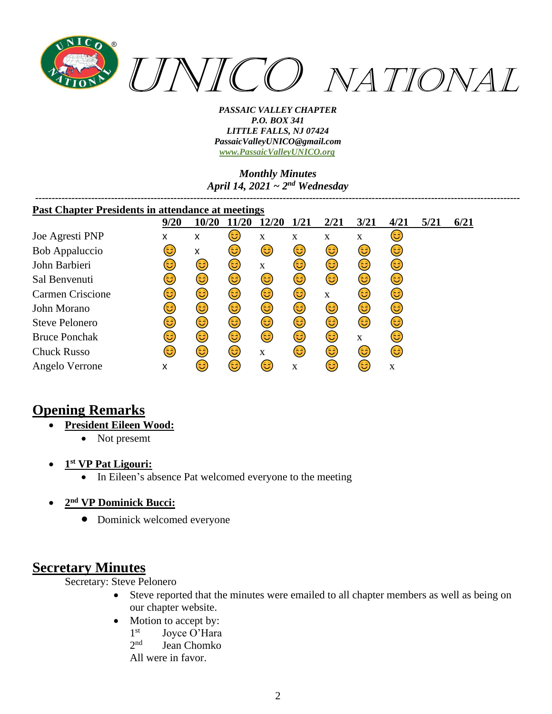

*Monthly Minutes April 14, 2021 ~ 2nd Wednesday*

| <b>Past Chapter Presidents in attendance at meetings</b> |      |       |      |       |      |             |             |      |      |      |
|----------------------------------------------------------|------|-------|------|-------|------|-------------|-------------|------|------|------|
|                                                          | 9/20 | 10/20 | 1/20 | 12/20 | 1/21 | 2/21        | 3/21        | 4/21 | 5/21 | 6/21 |
| Joe Agresti PNP                                          | x    | x     | 3    | X     | X    | X           | $\mathbf X$ | 63)  |      |      |
| Bob Appaluccio                                           | ಡಿ   | X     | 3)   | 3)    | 3)   | 3)          | 3)          | 3)   |      |      |
| John Barbieri                                            | 3    | 3)    | 3)   | X     | 3)   | 3           | 3)          | 3)   |      |      |
| Sal Benvenuti                                            | 3    | 3)    | 3)   | 3)    | 3)   | 3           | 3           | 3)   |      |      |
| <b>Carmen Criscione</b>                                  | 3    | 3)    | 3)   | 3)    | 3    | $\mathbf X$ | 63)         | 3    |      |      |
| John Morano                                              | 3    | 3)    | 3)   | 3)    | 3    | 3           | 3           | 3    |      |      |
| <b>Steve Pelonero</b>                                    | 3    | 3)    | 3    | ٢     | 3    | 3           | 3           | 3    |      |      |
| <b>Bruce Ponchak</b>                                     | 3    | 3)    | 3)   | 6     | 3    | 3           | X           | ದಿ   |      |      |
| <b>Chuck Russo</b>                                       | ದಿ   | 6     | 3)   | X     | 63)  | (ئُ         | 63          | 3    |      |      |
| Angelo Verrone                                           | x    | ಡಿ    | 6    | 3     | X    | ಡಿ          | ಟ           | X    |      |      |

# **Opening Remarks**

- **President Eileen Wood:**
	- Not presemt
- **1 st VP Pat Ligouri:**
	- In Eileen's absence Pat welcomed everyone to the meeting
- **2 nd VP Dominick Bucci:**
	- Dominick welcomed everyone

## **Secretary Minutes**

Secretary: Steve Pelonero

- Steve reported that the minutes were emailed to all chapter members as well as being on our chapter website.
- Motion to accept by:
	- $1<sup>st</sup>$ Joyce O'Hara
	- $2<sub>nd</sub>$ Jean Chomko

All were in favor.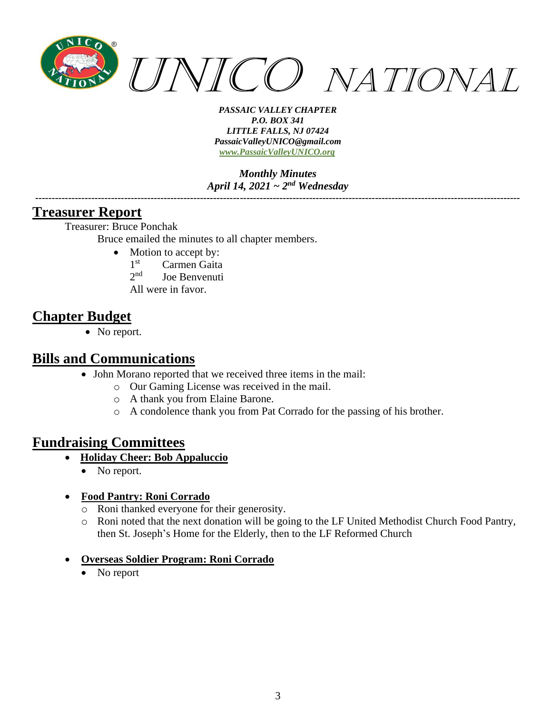

*Monthly Minutes April 14, 2021 ~ 2nd Wednesday*

*---------------------------------------------------------------------------------------------------------------------------------------------------*

### **Treasurer Report**

Treasurer: Bruce Ponchak

Bruce emailed the minutes to all chapter members.

- Motion to accept by:
	- 1<sup>st</sup> Carmen Gaita
	- $2<sub>nd</sub>$ Joe Benvenuti
	- All were in favor.

# **Chapter Budget**

• No report.

### **Bills and Communications**

- John Morano reported that we received three items in the mail:
	- o Our Gaming License was received in the mail.
	- o A thank you from Elaine Barone.
	- o A condolence thank you from Pat Corrado for the passing of his brother.

## **Fundraising Committees**

- **Holiday Cheer: Bob Appaluccio**
	- No report.

### • **Food Pantry: Roni Corrado**

- o Roni thanked everyone for their generosity.
- o Roni noted that the next donation will be going to the LF United Methodist Church Food Pantry, then St. Joseph's Home for the Elderly, then to the LF Reformed Church

### • **Overseas Soldier Program: Roni Corrado**

• No report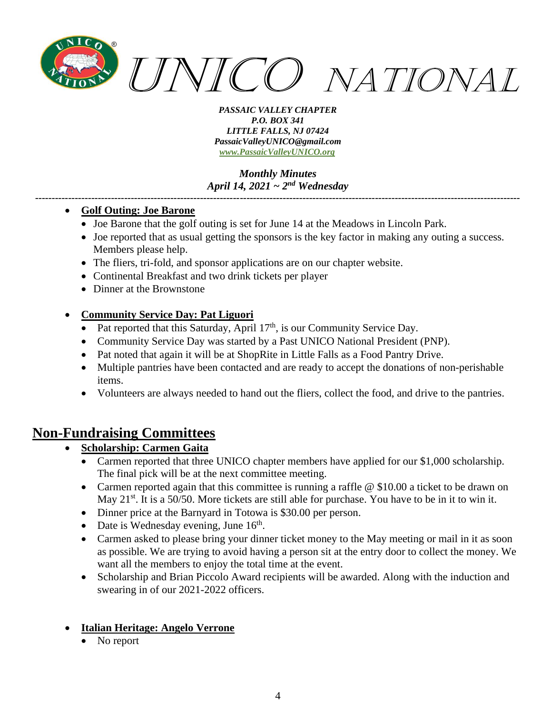

*Monthly Minutes April 14, 2021 ~ 2nd Wednesday*

*---------------------------------------------------------------------------------------------------------------------------------------------------*

### • **Golf Outing: Joe Barone**

- Joe Barone that the golf outing is set for June 14 at the Meadows in Lincoln Park.
- Joe reported that as usual getting the sponsors is the key factor in making any outing a success. Members please help.
- The fliers, tri-fold, and sponsor applications are on our chapter website.
- Continental Breakfast and two drink tickets per player
- Dinner at the Brownstone

### • **Community Service Day: Pat Liguori**

- Pat reported that this Saturday, April  $17<sup>th</sup>$ , is our Community Service Day.
- Community Service Day was started by a Past UNICO National President (PNP).
- Pat noted that again it will be at ShopRite in Little Falls as a Food Pantry Drive.
- Multiple pantries have been contacted and are ready to accept the donations of non-perishable items.
- Volunteers are always needed to hand out the fliers, collect the food, and drive to the pantries.

## **Non-Fundraising Committees**

- **Scholarship: Carmen Gaita**
	- Carmen reported that three UNICO chapter members have applied for our \$1,000 scholarship. The final pick will be at the next committee meeting.
	- Carmen reported again that this committee is running a raffle @ \$10.00 a ticket to be drawn on May  $21^{st}$ . It is a 50/50. More tickets are still able for purchase. You have to be in it to win it.
	- Dinner price at the Barnyard in Totowa is \$30.00 per person.
	- Date is Wednesday evening, June  $16<sup>th</sup>$ .
	- Carmen asked to please bring your dinner ticket money to the May meeting or mail in it as soon as possible. We are trying to avoid having a person sit at the entry door to collect the money. We want all the members to enjoy the total time at the event.
	- Scholarship and Brian Piccolo Award recipients will be awarded. Along with the induction and swearing in of our 2021-2022 officers.

### • **Italian Heritage: Angelo Verrone**

No report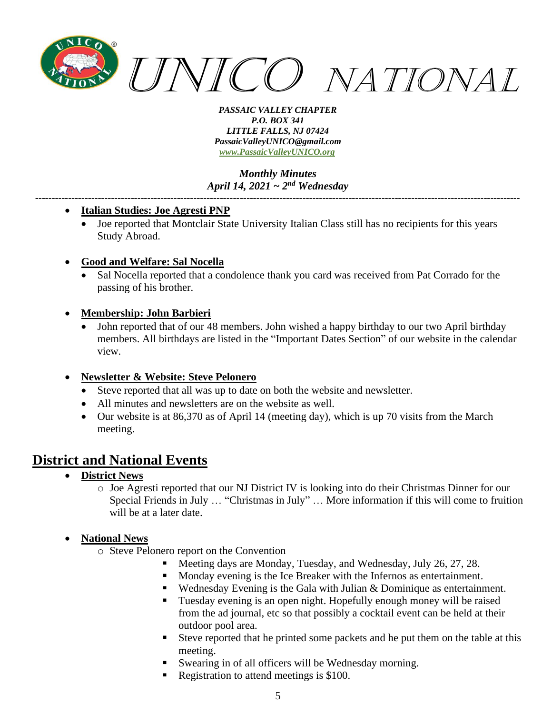

*Monthly Minutes April 14, 2021 ~ 2nd Wednesday*

*---------------------------------------------------------------------------------------------------------------------------------------------------*

### • **Italian Studies: Joe Agresti PNP**

- Joe reported that Montclair State University Italian Class still has no recipients for this years Study Abroad.
- **Good and Welfare: Sal Nocella**
	- Sal Nocella reported that a condolence thank you card was received from Pat Corrado for the passing of his brother.

### • **Membership: John Barbieri**

• John reported that of our 48 members. John wished a happy birthday to our two April birthday members. All birthdays are listed in the "Important Dates Section" of our website in the calendar view.

### • **Newsletter & Website: Steve Pelonero**

- Steve reported that all was up to date on both the website and newsletter.
- All minutes and newsletters are on the website as well.
- Our website is at 86,370 as of April 14 (meeting day), which is up 70 visits from the March meeting.

# **District and National Events**

- **District News**
	- o Joe Agresti reported that our NJ District IV is looking into do their Christmas Dinner for our Special Friends in July … "Christmas in July" … More information if this will come to fruition will be at a later date.

### • **National News**

- o Steve Pelonero report on the Convention
	- Meeting days are Monday, Tuesday, and Wednesday, July 26, 27, 28.
	- Monday evening is the Ice Breaker with the Infernos as entertainment.
	- Wednesday Evening is the Gala with Julian & Dominique as entertainment.
	- Tuesday evening is an open night. Hopefully enough money will be raised from the ad journal, etc so that possibly a cocktail event can be held at their outdoor pool area.
	- Steve reported that he printed some packets and he put them on the table at this meeting.
	- Swearing in of all officers will be Wednesday morning.
	- Registration to attend meetings is \$100.